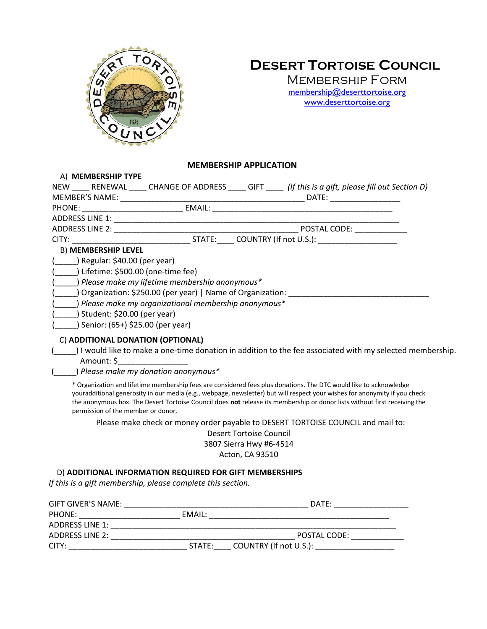

# **DESERT TORTOISE COUNCIL**

Membership Form [membership@deserttortoise.org](mailto:membership@deserttortoise.org) [www.deserttortoise.org](http://www.deserttortoise.org/)

# **MEMBERSHIP APPLICATION**

| A) MEMBERSHIP TYPE                 |                                                             |                                                                                                                                                                                                                                                                                                                                                                              |
|------------------------------------|-------------------------------------------------------------|------------------------------------------------------------------------------------------------------------------------------------------------------------------------------------------------------------------------------------------------------------------------------------------------------------------------------------------------------------------------------|
|                                    |                                                             | NEW _____ RENEWAL _____ CHANGE OF ADDRESS _____ GIFT _____ (If this is a gift, please fill out Section D)                                                                                                                                                                                                                                                                    |
|                                    |                                                             |                                                                                                                                                                                                                                                                                                                                                                              |
|                                    |                                                             |                                                                                                                                                                                                                                                                                                                                                                              |
|                                    |                                                             |                                                                                                                                                                                                                                                                                                                                                                              |
|                                    |                                                             | POSTAL CODE: _____________                                                                                                                                                                                                                                                                                                                                                   |
|                                    |                                                             | CITY: COUNTRY (If not U.S.):                                                                                                                                                                                                                                                                                                                                                 |
| <b>B) MEMBERSHIP LEVEL</b>         |                                                             |                                                                                                                                                                                                                                                                                                                                                                              |
| $($ ) Regular: \$40.00 (per year)  |                                                             |                                                                                                                                                                                                                                                                                                                                                                              |
|                                    | ) Lifetime: \$500.00 (one-time fee)                         |                                                                                                                                                                                                                                                                                                                                                                              |
|                                    | ) Please make my lifetime membership anonymous*             |                                                                                                                                                                                                                                                                                                                                                                              |
|                                    | ) Organization: \$250.00 (per year)   Name of Organization: |                                                                                                                                                                                                                                                                                                                                                                              |
|                                    | ) Please make my organizational membership anonymous*       |                                                                                                                                                                                                                                                                                                                                                                              |
| ) Student: \$20.00 (per year)      |                                                             |                                                                                                                                                                                                                                                                                                                                                                              |
| Senior: (65+) \$25.00 (per year)   |                                                             |                                                                                                                                                                                                                                                                                                                                                                              |
|                                    | C) ADDITIONAL DONATION (OPTIONAL)                           |                                                                                                                                                                                                                                                                                                                                                                              |
|                                    |                                                             | I would like to make a one-time donation in addition to the fee associated with my selected membership.                                                                                                                                                                                                                                                                      |
| Amount: \$                         |                                                             |                                                                                                                                                                                                                                                                                                                                                                              |
|                                    | Please make my donation anonymous*                          |                                                                                                                                                                                                                                                                                                                                                                              |
| permission of the member or donor. |                                                             | * Organization and lifetime membership fees are considered fees plus donations. The DTC would like to acknowledge<br>youradditional generosity in our media (e.g., webpage, newsletter) but will respect your wishes for anonymity if you check<br>the anonymous box. The Desert Tortoise Council does not release its membership or donor lists without first receiving the |

Please make check or money order payable to DESERT TORTOISE COUNCIL and mail to:

Desert Tortoise Council 3807 Sierra Hwy #6-4514

Acton, CA 93510

# D) **ADDITIONAL INFORMATION REQUIRED FOR GIFT MEMBERSHIPS**

*If this is a gift membership, please complete this section.*

| <b>GIFT GIVER'S NAME:</b> |               | DATE:                  |
|---------------------------|---------------|------------------------|
| PHONE:                    | <b>EMAIL:</b> |                        |
| ADDRESS LINE 1:           |               |                        |
| ADDRESS LINE 2:           |               | POSTAL CODE:           |
| CITY:                     | STATE:        | COUNTRY (If not U.S.): |